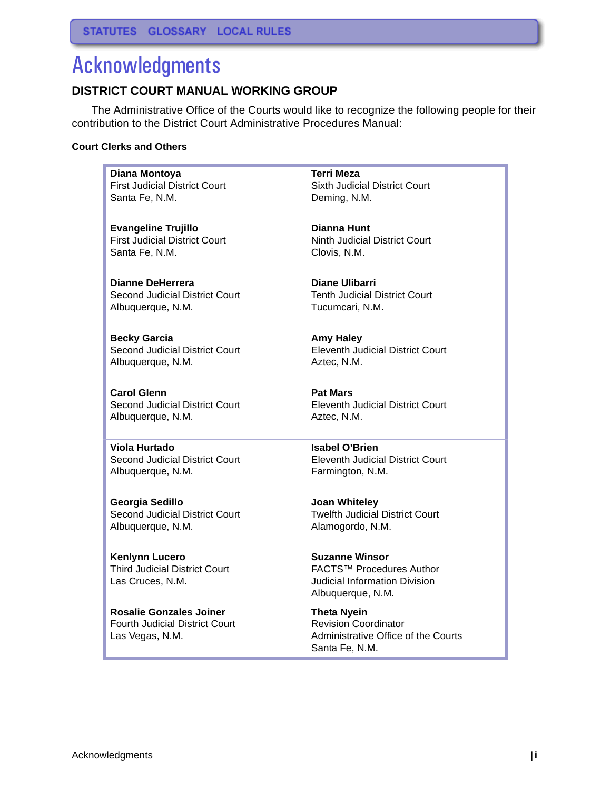# Acknowledgments

# **DISTRICT COURT MANUAL WORKING GROUP**

The Administrative Office of the Courts would like to recognize the following people for their contribution to the District Court Administrative Procedures Manual:

#### **Court Clerks and Others**

| Diana Montoya                                                                              | <b>Terri Meza</b>                                                                                          |
|--------------------------------------------------------------------------------------------|------------------------------------------------------------------------------------------------------------|
| <b>First Judicial District Court</b>                                                       | <b>Sixth Judicial District Court</b>                                                                       |
| Santa Fe, N.M.                                                                             | Deming, N.M.                                                                                               |
| <b>Evangeline Trujillo</b>                                                                 | Dianna Hunt                                                                                                |
| <b>First Judicial District Court</b>                                                       | <b>Ninth Judicial District Court</b>                                                                       |
| Santa Fe, N.M.                                                                             | Clovis, N.M.                                                                                               |
| <b>Dianne DeHerrera</b>                                                                    | <b>Diane Ulibarri</b>                                                                                      |
| Second Judicial District Court                                                             | <b>Tenth Judicial District Court</b>                                                                       |
| Albuquerque, N.M.                                                                          | Tucumcari, N.M.                                                                                            |
| <b>Becky Garcia</b>                                                                        | <b>Amy Haley</b>                                                                                           |
| <b>Second Judicial District Court</b>                                                      | <b>Eleventh Judicial District Court</b>                                                                    |
| Albuquerque, N.M.                                                                          | Aztec, N.M.                                                                                                |
| <b>Carol Glenn</b>                                                                         | <b>Pat Mars</b>                                                                                            |
| Second Judicial District Court                                                             | <b>Eleventh Judicial District Court</b>                                                                    |
| Albuquerque, N.M.                                                                          | Aztec, N.M.                                                                                                |
| Viola Hurtado                                                                              | <b>Isabel O'Brien</b>                                                                                      |
| Second Judicial District Court                                                             | <b>Eleventh Judicial District Court</b>                                                                    |
| Albuquerque, N.M.                                                                          | Farmington, N.M.                                                                                           |
| Georgia Sedillo                                                                            | <b>Joan Whiteley</b>                                                                                       |
| <b>Second Judicial District Court</b>                                                      | <b>Twelfth Judicial District Court</b>                                                                     |
| Albuquerque, N.M.                                                                          | Alamogordo, N.M.                                                                                           |
| <b>Kenlynn Lucero</b><br><b>Third Judicial District Court</b><br>Las Cruces, N.M.          | <b>Suzanne Winsor</b><br>FACTS™ Procedures Author<br>Judicial Information Division<br>Albuquerque, N.M.    |
| <b>Rosalie Gonzales Joiner</b><br><b>Fourth Judicial District Court</b><br>Las Vegas, N.M. | <b>Theta Nyein</b><br><b>Revision Coordinator</b><br>Administrative Office of the Courts<br>Santa Fe, N.M. |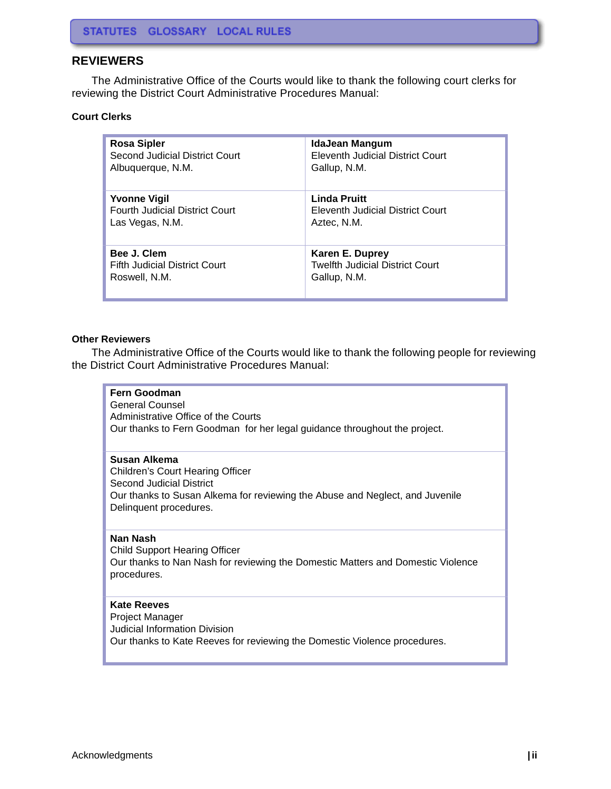# **REVIEWERS**

The Administrative Office of the Courts would like to thank the following court clerks for reviewing the District Court Administrative Procedures Manual:

#### **Court Clerks**

| <b>Rosa Sipler</b>                    | <b>IdaJean Mangum</b>                   |
|---------------------------------------|-----------------------------------------|
| Second Judicial District Court        | <b>Eleventh Judicial District Court</b> |
| Albuquerque, N.M.                     | Gallup, N.M.                            |
| <b>Yvonne Vigil</b>                   | <b>Linda Pruitt</b>                     |
| <b>Fourth Judicial District Court</b> | Eleventh Judicial District Court        |
| Las Vegas, N.M.                       | Aztec, N.M.                             |
| Bee J. Clem                           | Karen E. Duprey                         |
| Fifth Judicial District Court         | <b>Twelfth Judicial District Court</b>  |
| Roswell, N.M.                         | Gallup, N.M.                            |

#### **Other Reviewers**

The Administrative Office of the Courts would like to thank the following people for reviewing the District Court Administrative Procedures Manual:

| <b>Fern Goodman</b><br><b>General Counsel</b><br>Administrative Office of the Courts<br>Our thanks to Fern Goodman for her legal guidance throughout the project.                      |
|----------------------------------------------------------------------------------------------------------------------------------------------------------------------------------------|
| Susan Alkema<br>Children's Court Hearing Officer<br>Second Judicial District<br>Our thanks to Susan Alkema for reviewing the Abuse and Neglect, and Juvenile<br>Delinquent procedures. |
| Nan Nash<br>Child Support Hearing Officer<br>Our thanks to Nan Nash for reviewing the Domestic Matters and Domestic Violence<br>procedures.                                            |
| <b>Kate Reeves</b><br>Project Manager<br>Judicial Information Division<br>Our thanks to Kate Reeves for reviewing the Domestic Violence procedures.                                    |